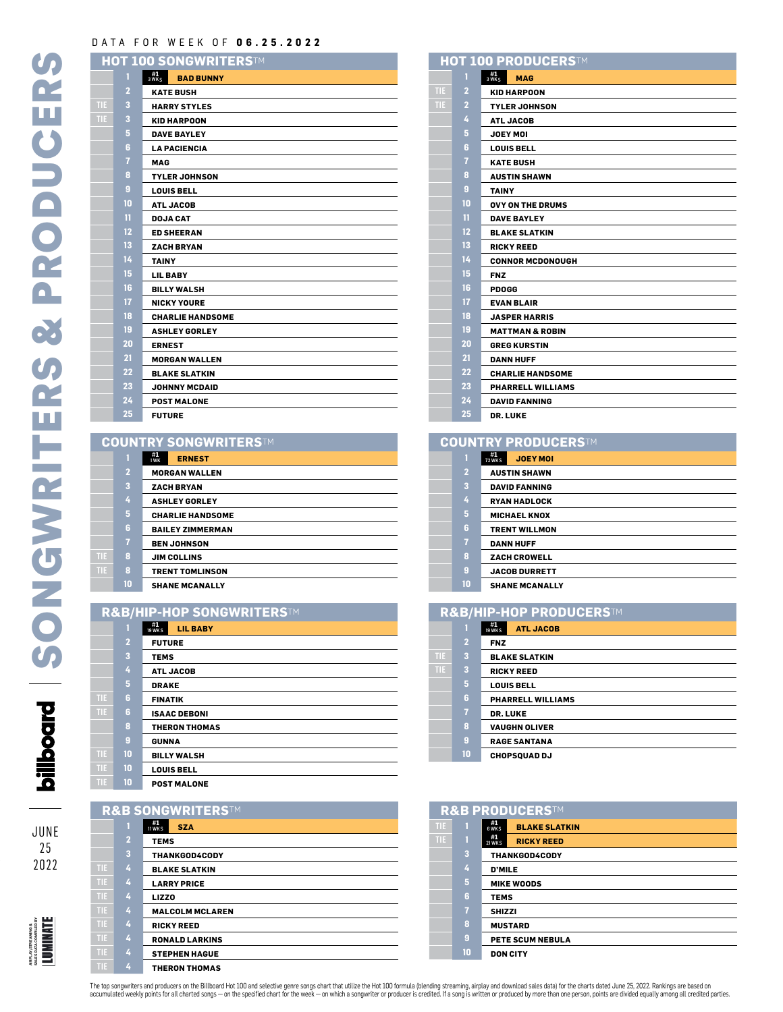# DATA FOR WEEK OF **06.25.2022**

**TIE 3 HARRY STYLES TIE 3 KID HARPOON**

|                | HOT 100 SONGWRITERS™                   |
|----------------|----------------------------------------|
|                | $3 \frac{41}{WKS}$<br><b>BAD BUNNY</b> |
| $\overline{2}$ | <b>KATE BUSH</b>                       |
| 3              | <b>HARRY STYLES</b>                    |
| 3              | <b>KID HARPOON</b>                     |
| 5              | <b>DAVE BAYLEY</b>                     |
| $6\phantom{a}$ | <b>LA PACIENCIA</b>                    |
| 7              | <b>MAG</b>                             |
| 8              | <b>TYLER JOHNSON</b>                   |
| 9              | <b>LOUIS BELL</b>                      |
| 10             | <b>ATL JACOB</b>                       |
| 11             | <b>DOJA CAT</b>                        |
| 12             | <b>ED SHEERAN</b>                      |
| 13             | <b>ZACH BRYAN</b>                      |
| 14             | <b>TAINY</b>                           |
| 15             | <b>LIL BABY</b>                        |
| 16             | <b>BILLY WALSH</b>                     |
| 17             | <b>NICKY YOURE</b>                     |
| 18             | <b>CHARLIE HANDSOME</b>                |
| 19             | <b>ASHLEY GORLEY</b>                   |
| 20             | <b>ERNEST</b>                          |
| 21             | <b>MORGAN WALLEN</b>                   |
| 22             | <b>BLAKE SLATKIN</b>                   |
| 23             | <b>JOHNNY MCDAID</b>                   |
| 24             | <b>POST MALONE</b>                     |
| 25             | <b>FUTURE</b>                          |
|                |                                        |

#### **COUNTRY SONGWRITERS**TM

|      |                | .                           |
|------|----------------|-----------------------------|
|      | т              | #1<br><b>ERNEST</b><br>1 WK |
|      | $\overline{2}$ | <b>MORGAN WALLEN</b>        |
|      | 3              | <b>ZACH BRYAN</b>           |
|      | 4              | <b>ASHLEY GORLEY</b>        |
|      | 5              | <b>CHARLIE HANDSOME</b>     |
|      | 6              | <b>BAILEY ZIMMERMAN</b>     |
|      | $\overline{1}$ | <b>BEN JOHNSON</b>          |
| TIE  | 8              | <b>JIM COLLINS</b>          |
| TIE. | 8              | <b>TRENT TOMLINSON</b>      |
|      | 10             | <b>SHANE MCANALLY</b>       |

### **R&B/HIP-HOP SONGWRITERS**TM

|      | 1              | #1<br>19 WKS   | <b>LIL BABY</b>      |
|------|----------------|----------------|----------------------|
|      | $\overline{2}$ | <b>FUTURE</b>  |                      |
|      | 3              | <b>TEMS</b>    |                      |
|      | 4              |                | <b>ATL JACOB</b>     |
|      | 5              | <b>DRAKE</b>   |                      |
| TIE. | 6              | <b>FINATIK</b> |                      |
| TIE  | 6              |                | <b>ISAAC DEBONI</b>  |
|      | 8              |                | <b>THERON THOMAS</b> |
|      | 9              | <b>GUNNA</b>   |                      |
| TIE. | 10             |                | <b>BILLY WALSH</b>   |
| TIE. | 10             |                | <b>LOUIS BELL</b>    |
| TIE. | 10             |                | <b>POST MALONE</b>   |

## **R&B SONGWRITERS**TM

**TIE 10 BILLY WALSH TIE 10 LOUIS BELL**

**TIE 4 LIZZO**

JUNE 

AIRPLAY/STREAMING & SALES DATA COMPILED BY

airplay;streamhg a<br>sales data compled by<br>| LUMINATE

|      | 1              | $\frac{\text{#1}}{\text{11 WKS}}$<br><b>SZA</b> |
|------|----------------|-------------------------------------------------|
|      | $\overline{2}$ | <b>TEMS</b>                                     |
|      | 3              | <b>THANKGOD4CODY</b>                            |
| TIE. | 4              | <b>BLAKE SLATKIN</b>                            |
| TIE  | 4              | <b>LARRY PRICE</b>                              |
| TIE. | 4              | <b>LIZZO</b>                                    |
| TIE. | 4              | <b>MALCOLM MCLAREN</b>                          |
| TIE  | 4              | <b>RICKY REED</b>                               |
| TIE. | 4              | <b>RONALD LARKINS</b>                           |
| TIE. | 4              | <b>STEPHEN HAGUE</b>                            |
| TIE. | 4              | <b>THERON THOMAS</b>                            |

### **#1** 3 WKS **MAG TIE 2 KID HARPOON TIE 2 TYLER JOHNSON ATL JACOB JOEY MOI LOUIS BELL KATE BUSH AUSTIN SHAWN TAINY OVY ON THE DRUMS DAVE BAYLEY BLAKE SLATKIN RICKY REED CONNOR MCDONOUGH FNZ PDOGG EVAN BLAIR JASPER HARRIS MATTMAN & ROBIN GREG KURSTIN DANN HUFF CHARLIE HANDSOME PHARRELL WILLIAMS DAVID FANNING HOT 100 PRODUCERS**TM

**DR. LUKE**

### **#1** 72 WKS **JOEY MOI COUNTRY PRODUCERS**TM

|                | 72 WK S<br>JUET MUI   |
|----------------|-----------------------|
| $\overline{a}$ | <b>AUSTIN SHAWN</b>   |
| 3              | <b>DAVID FANNING</b>  |
| 4              | <b>RYAN HADLOCK</b>   |
| 5              | <b>MICHAEL KNOX</b>   |
| 6              | <b>TRENT WILLMON</b>  |
| 7              | <b>DANN HUFF</b>      |
| 8              | <b>ZACH CROWELL</b>   |
| 9              | <b>JACOB DURRETT</b>  |
| 10             | <b>SHANE MCANALLY</b> |

| <b>R&amp;B/HIP-HOP PRODUCERS™</b> |                |                                                  |
|-----------------------------------|----------------|--------------------------------------------------|
|                                   |                | $\frac{\#1}{19 \text{ WKS}}$<br><b>ATL JACOB</b> |
|                                   | $\overline{2}$ | <b>FNZ</b>                                       |
| ПE                                | 3              | <b>BLAKE SLATKIN</b>                             |
| TIE                               | 3              | <b>RICKY REED</b>                                |
|                                   | 5              | <b>LOUIS BELL</b>                                |
|                                   | 6              | <b>PHARRELL WILLIAMS</b>                         |
|                                   | 7              | <b>DR. LUKE</b>                                  |
|                                   | 8              | <b>VAUGHN OLIVER</b>                             |
|                                   | 9              | <b>RAGE SANTANA</b>                              |
|                                   | 10             | <b>CHOPSQUAD DJ</b>                              |

|      | R&B PRODUCERSTM |                                           |  |  |
|------|-----------------|-------------------------------------------|--|--|
| TIE. |                 | $#1$<br>6 WK S<br><b>BLAKE SLATKIN</b>    |  |  |
| TIE. | п               | #1<br><b>RICKY REED</b><br><b>21 WK S</b> |  |  |
|      | 3               | <b>THANKGOD4CODY</b>                      |  |  |
|      | 4               | <b>D'MILE</b>                             |  |  |
|      | 5               | <b>MIKE WOODS</b>                         |  |  |
|      | 6               | <b>TEMS</b>                               |  |  |
|      | $\overline{7}$  | <b>SHIZZI</b>                             |  |  |
|      | 8               | <b>MUSTARD</b>                            |  |  |
|      | 9               | <b>PETE SCUM NEBULA</b>                   |  |  |
|      | 10              | <b>DON CITY</b>                           |  |  |

The top songwriters and producers on the Billbard Hot 100 and selective genre songs chart that utilize the Hot 100 formula (blending streaming, airplay and download sales data ) for the chart's drawn in the specified parti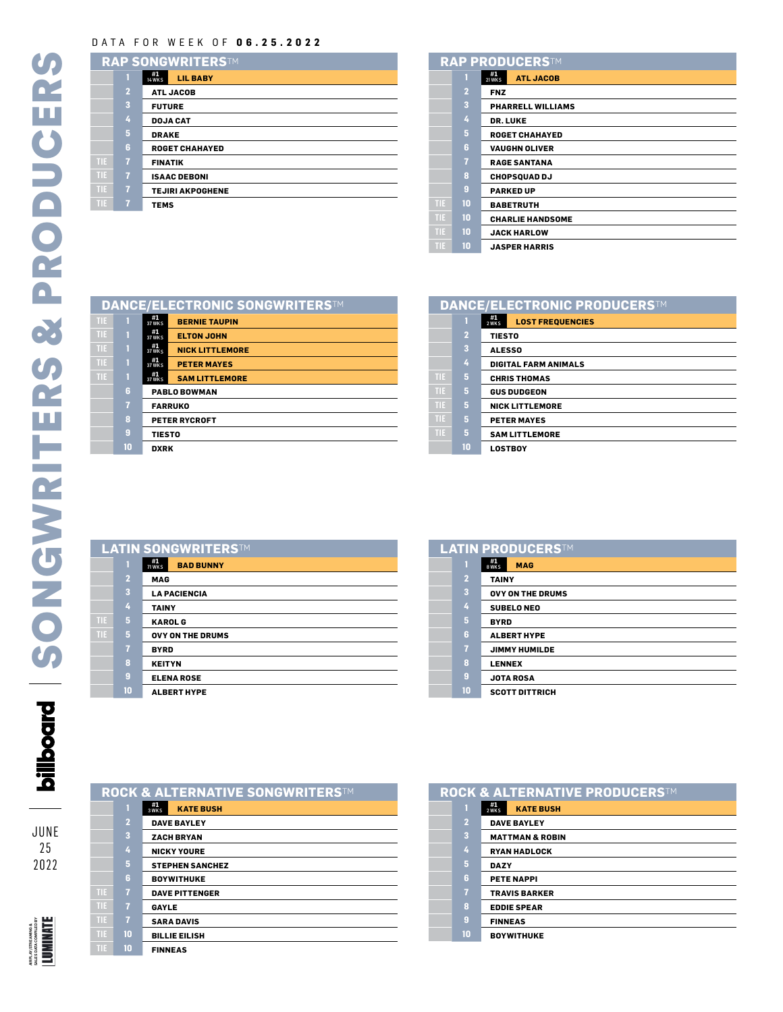# DATA FOR WEEK OF **06.25.2022**

| RAP SONGWRITERSTM |                         |                                                                 |
|-------------------|-------------------------|-----------------------------------------------------------------|
|                   |                         | $\frac{\textbf{#1}}{\textbf{14}\text{ WKS}}$<br><b>LIL BABY</b> |
|                   | $\overline{a}$          | <b>ATL JACOB</b>                                                |
|                   | $\overline{\mathbf{3}}$ | <b>FUTURE</b>                                                   |
|                   | 4                       | <b>DOJA CAT</b>                                                 |
|                   | 5                       | <b>DRAKE</b>                                                    |
|                   | 6                       | <b>ROGET CHAHAYED</b>                                           |
| TIE               | $\overline{7}$          | <b>FINATIK</b>                                                  |
| TIE               | 7                       | <b>ISAAC DEBONI</b>                                             |
| TIE               | $\overline{1}$          | <b>TEJIRI AKPOGHENE</b>                                         |
| TIE               | $\overline{7}$          | <b>TEMS</b>                                                     |

|      |                         | <b>RAP PRODUCERSTM</b>                                    |
|------|-------------------------|-----------------------------------------------------------|
|      |                         | $\frac{\textbf{#1}}{\textbf{21 WKS}}$<br><b>ATL JACOB</b> |
|      | $\overline{2}$          | <b>FNZ</b>                                                |
|      | $\overline{\mathbf{3}}$ | <b>PHARRELL WILLIAMS</b>                                  |
|      | 4                       | <b>DR. LUKE</b>                                           |
|      | 5                       | <b>ROGET CHAHAYED</b>                                     |
|      | 6                       | <b>VAUGHN OLIVER</b>                                      |
|      | $\overline{7}$          | <b>RAGE SANTANA</b>                                       |
|      | 8                       | <b>CHOPSQUAD DJ</b>                                       |
|      | 9                       | <b>PARKED UP</b>                                          |
| TIE. | 10                      | <b>BABETRUTH</b>                                          |
| TIE. | 10                      | <b>CHARLIE HANDSOME</b>                                   |
| TIE. | 10                      | <b>JACK HARLOW</b>                                        |
| TIE  | 10                      | <b>JASPER HARRIS</b>                                      |

|     |    | <b>DANCE/ELECTRONIC SONGWRITERSTM</b>                  |  |
|-----|----|--------------------------------------------------------|--|
| TIE |    | #1<br><b>BERNIE TAUPIN</b><br><b>37 WK S</b>           |  |
| TIE | П  | $\frac{\#1}{37 \text{ WK s}}$<br><b>ELTON JOHN</b>     |  |
| TIE |    | #1<br><b>NICK LITTLEMORE</b><br>37 WK S                |  |
| TIE | 1  | #1<br><b>PETER MAYES</b><br><b>37 WKS</b>              |  |
| TIE |    | $\frac{\#1}{37 \text{ WK s}}$<br><b>SAM LITTLEMORE</b> |  |
|     | 6  | <b>PABLO BOWMAN</b>                                    |  |
|     | 7  | <b>FARRUKO</b>                                         |  |
|     | 8  | <b>PETER RYCROFT</b>                                   |  |
|     | 9  | <b>TIESTO</b>                                          |  |
|     | 10 | <b>DXRK</b>                                            |  |
|     |    |                                                        |  |

| <b>DANCE/ELECTRONIC PRODUCERSTM</b> |                |                                        |
|-------------------------------------|----------------|----------------------------------------|
|                                     |                | #1<br><b>LOST FREQUENCIES</b><br>2 WKS |
|                                     | $\overline{2}$ | <b>TIESTO</b>                          |
|                                     | 3              | <b>ALESSO</b>                          |
|                                     | 4              | <b>DIGITAL FARM ANIMALS</b>            |
| TIE.                                | 5              | <b>CHRIS THOMAS</b>                    |
| TE                                  | 5              | <b>GUS DUDGEON</b>                     |
| TE                                  | 5              | <b>NICK LITTLEMORE</b>                 |
| TIE.                                | 5              | <b>PETER MAYES</b>                     |
| TE                                  | 5              | <b>SAM LITTLEMORE</b>                  |
|                                     | 10             | <b>LOSTBOY</b>                         |

|     |                         | LATIN SONGWRITERSTM                                   |
|-----|-------------------------|-------------------------------------------------------|
|     |                         | $\frac{\text{#1}}{\text{71 WKS}}$<br><b>BAD BUNNY</b> |
|     | $\overline{2}$          | <b>MAG</b>                                            |
|     | $\overline{\mathbf{3}}$ | <b>LA PACIENCIA</b>                                   |
|     | 4                       | <b>TAINY</b>                                          |
| TIE | 5                       | <b>KAROL G</b>                                        |
| TIE | 5                       | <b>OVY ON THE DRUMS</b>                               |
|     | $\overline{1}$          | <b>BYRD</b>                                           |
|     | 8                       | <b>KEITYN</b>                                         |
|     | $\overline{9}$          | <b>ELENA ROSE</b>                                     |
|     | 10                      | <b>ALBERT HYPE</b>                                    |

|                | <b>LATIN PRODUCERSTM</b>                       |
|----------------|------------------------------------------------|
|                | $\frac{\text{#1}}{\text{8 WKS}}$<br><b>MAG</b> |
| $\overline{2}$ | <b>TAINY</b>                                   |
| 3              | <b>OVY ON THE DRUMS</b>                        |
| 4              | <b>SUBELO NEO</b>                              |
| 5              | <b>BYRD</b>                                    |
| 6              | <b>ALBERT HYPE</b>                             |
| $\overline{7}$ | <b>JIMMY HUMILDE</b>                           |
| 8              | <b>LENNEX</b>                                  |
| 9              | <b>JOTA ROSA</b>                               |
| 10             | <b>SCOTT DITTRICH</b>                          |

|      | ROCK & ALTERNATIVE SONGWRITERSTM |                                               |  |
|------|----------------------------------|-----------------------------------------------|--|
|      | п                                | $\frac{41}{3 \text{WKS}}$<br><b>KATE BUSH</b> |  |
|      | $\overline{2}$                   | <b>DAVE BAYLEY</b>                            |  |
|      | 3                                | <b>ZACH BRYAN</b>                             |  |
|      | 4                                | <b>NICKY YOURE</b>                            |  |
|      | 5.                               | <b>STEPHEN SANCHEZ</b>                        |  |
|      | 6                                | <b>BOYWITHUKE</b>                             |  |
| TIE  | $\overline{1}$                   | <b>DAVE PITTENGER</b>                         |  |
| TIE. | $\overline{1}$                   | GAYLE                                         |  |
| TIE  | $\overline{1}$                   | <b>SARA DAVIS</b>                             |  |
| TIE  | 10                               | <b>BILLIE EILISH</b>                          |  |
| TIE  | 10                               | <b>FINNEAS</b>                                |  |

| <b>ROCK &amp; ALTERNATIVE PRODUCERSTM</b> |                |                                                              |
|-------------------------------------------|----------------|--------------------------------------------------------------|
|                                           |                | $2$ <sup>#1</sup><br>$2$ WK <sub>S</sub><br><b>KATE BUSH</b> |
|                                           | $\overline{2}$ | <b>DAVE BAYLEY</b>                                           |
|                                           | 3              | <b>MATTMAN &amp; ROBIN</b>                                   |
|                                           | 4              | <b>RYAN HADLOCK</b>                                          |
|                                           | 5              | <b>DAZY</b>                                                  |
|                                           | 6              | <b>PETE NAPPI</b>                                            |
|                                           | $\overline{1}$ | <b>TRAVIS BARKER</b>                                         |
|                                           | 8              | <b>EDDIE SPEAR</b>                                           |
|                                           | 9              | <b>FINNEAS</b>                                               |
|                                           | 10             | <b>BOYWITHUKE</b>                                            |